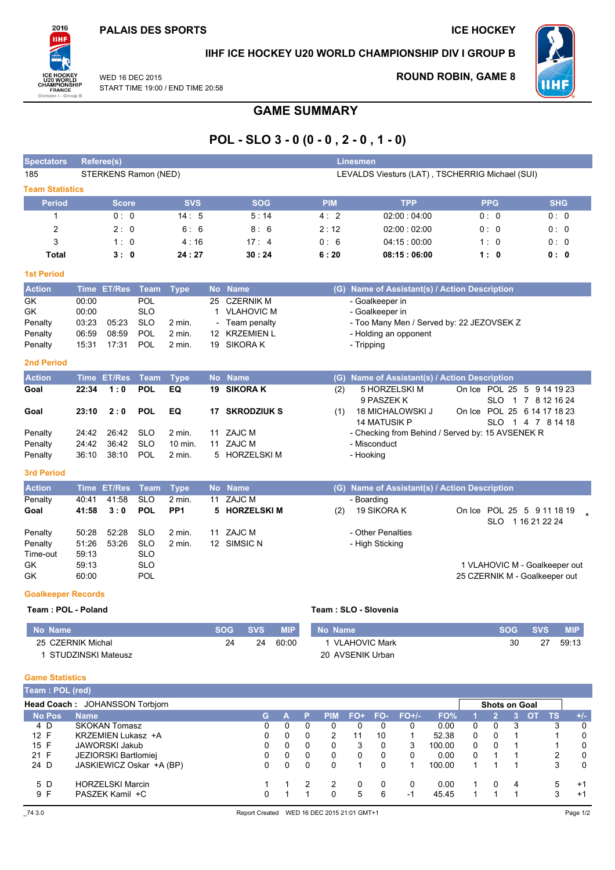

### IIHF ICE HOCKEY U20 WORLD CHAMPIONSHIP DIV I GROUP B

WED 16 DEC 2015 START TIME 19:00 / END TIME 20:58

#### **ROUND ROBIN, GAME 8**



**GAME SUMMARY** 

# POL - SLO 3 - 0 (0 - 0, 2 - 0, 1 - 0)

| <b>Spectators</b>              | Referee(s)<br><b>Linesmen</b>                                           |                                            |                          |                    |    |                              |                   |                   |                      |                   |                   |                         |                                                  |                               |                      |                     |                        |                               |
|--------------------------------|-------------------------------------------------------------------------|--------------------------------------------|--------------------------|--------------------|----|------------------------------|-------------------|-------------------|----------------------|-------------------|-------------------|-------------------------|--------------------------------------------------|-------------------------------|----------------------|---------------------|------------------------|-------------------------------|
| 185                            | STERKENS Ramon (NED)<br>LEVALDS Viesturs (LAT), TSCHERRIG Michael (SUI) |                                            |                          |                    |    |                              |                   |                   |                      |                   |                   |                         |                                                  |                               |                      |                     |                        |                               |
| <b>Team Statistics</b>         |                                                                         |                                            |                          |                    |    |                              |                   |                   |                      |                   |                   |                         |                                                  |                               |                      |                     |                        |                               |
| <b>Period</b>                  |                                                                         | <b>Score</b>                               |                          | <b>SVS</b>         |    | <b>SOG</b>                   |                   |                   | <b>PIM</b>           |                   |                   | <b>TPP</b>              |                                                  |                               | <b>PPG</b>           |                     |                        | <b>SHG</b>                    |
| 1                              |                                                                         | 0: 0                                       |                          | 14:5               |    | 5:14                         |                   |                   | 4:2                  |                   |                   | 02:00:04:00             |                                                  |                               | 0: 0                 |                     |                        | 0:0                           |
| 2                              |                                                                         | 2:0                                        |                          | 6:6                |    | 8:6                          |                   |                   | 2:12                 |                   |                   | 02:00:02:00             |                                                  |                               | 0:0                  |                     |                        | 0: 0                          |
| 3                              |                                                                         | 1:0                                        |                          | 4:16               |    | 17:4                         |                   |                   | 0:6                  |                   |                   | 04:15:00:00             |                                                  |                               | 1:0                  |                     |                        | 0:0                           |
| Total                          |                                                                         | 3:0                                        |                          | 24:27              |    | 30:24                        |                   |                   | 6:20                 |                   |                   | 08:15:06:00             |                                                  |                               | 1:0                  |                     |                        | 0: 0                          |
| <b>1st Period</b>              |                                                                         |                                            |                          |                    |    |                              |                   |                   |                      |                   |                   |                         |                                                  |                               |                      |                     |                        |                               |
| <b>Action</b>                  |                                                                         | Time ET/Res                                | Team                     | <b>Type</b>        |    | No Name                      |                   |                   |                      |                   |                   |                         | (G) Name of Assistant(s) / Action Description    |                               |                      |                     |                        |                               |
| GK                             | 00:00                                                                   |                                            | POL                      |                    | 25 | <b>CZERNIK M</b>             |                   |                   |                      |                   | - Goalkeeper in   |                         |                                                  |                               |                      |                     |                        |                               |
| GK                             | 00:00                                                                   |                                            | <b>SLO</b>               |                    |    | 1 VLAHOVIC M                 |                   |                   |                      |                   | - Goalkeeper in   |                         |                                                  |                               |                      |                     |                        |                               |
| Penalty                        | 03:23                                                                   | 05:23                                      | <b>SLO</b>               | 2 min.             |    | Team penalty                 |                   |                   |                      |                   |                   |                         | - Too Many Men / Served by: 22 JEZOVSEK Z        |                               |                      |                     |                        |                               |
| Penalty                        | 06:59<br>15:31                                                          | 08:59<br>17:31                             | POL<br>POL               | 2 min.<br>$2$ min. |    | 12 KRZEMIEN L<br>19 SIKORA K |                   |                   |                      |                   |                   | - Holding an opponent   |                                                  |                               |                      |                     |                        |                               |
| Penalty                        |                                                                         |                                            |                          |                    |    |                              |                   |                   |                      | - Tripping        |                   |                         |                                                  |                               |                      |                     |                        |                               |
| <b>2nd Period</b>              |                                                                         |                                            |                          |                    |    |                              |                   |                   |                      |                   |                   |                         |                                                  |                               |                      |                     |                        |                               |
| <b>Action</b>                  |                                                                         | Time ET/Res                                | <b>Team</b>              | <b>Type</b>        |    | No Name                      |                   |                   |                      |                   |                   |                         | (G) Name of Assistant(s) / Action Description    |                               |                      |                     |                        |                               |
| Goal                           | 22:34                                                                   | 1:0                                        | <b>POL</b>               | EQ                 | 19 | <b>SIKORA K</b>              |                   |                   | (2)                  |                   |                   | 5 HORZELSKI M           |                                                  | On Ice POL 25 5 9 14 19 23    |                      |                     |                        |                               |
| Goal                           | 23:10                                                                   | 2:0                                        | <b>POL</b>               | EQ                 | 17 | <b>SKRODZIUK S</b>           |                   |                   | (1)                  |                   | 9 PASZEK K        | <b>18 MICHALOWSKI J</b> |                                                  | On Ice POL 25 6 14 17 18 23   |                      |                     | SLO 1 7 8 12 16 24     |                               |
|                                |                                                                         |                                            |                          |                    |    |                              |                   |                   |                      |                   | 14 MATUSIK P      |                         |                                                  |                               |                      |                     | SLO 1 4 7 8 14 18      |                               |
| Penalty                        | 24:42                                                                   | 26:42                                      | <b>SLO</b>               | 2 min.             | 11 | ZAJC M                       |                   |                   |                      |                   |                   |                         | - Checking from Behind / Served by: 15 AVSENEK R |                               |                      |                     |                        |                               |
| Penalty                        | 24:42                                                                   | 36:42                                      | <b>SLO</b>               | 10 min.            |    | 11 ZAJC M                    |                   |                   |                      |                   | - Misconduct      |                         |                                                  |                               |                      |                     |                        |                               |
| Penalty                        | 36:10                                                                   | 38:10                                      | POL                      | 2 min.             |    | 5 HORZELSKIM                 |                   |                   |                      | - Hooking         |                   |                         |                                                  |                               |                      |                     |                        |                               |
| <b>3rd Period</b>              |                                                                         |                                            |                          |                    |    |                              |                   |                   |                      |                   |                   |                         |                                                  |                               |                      |                     |                        |                               |
| <b>Action</b>                  |                                                                         | Time ET/Res                                | <b>Team</b>              | <b>Type</b>        |    | No Name                      |                   |                   |                      |                   |                   |                         | (G) Name of Assistant(s) / Action Description    |                               |                      |                     |                        |                               |
| Penalty                        | 40:41                                                                   | 41:58                                      | <b>SLO</b>               | 2 min.             | 11 | ZAJC M                       |                   |                   |                      | - Boarding        |                   |                         |                                                  |                               |                      |                     |                        |                               |
| Goal                           | 41:58                                                                   | 3:0                                        | <b>POL</b>               | PP <sub>1</sub>    | 5  | <b>HORZELSKI M</b>           |                   |                   | (2)                  |                   | 19 SIKORA K       |                         |                                                  | On Ice POL 25 5 9 11 18 19    |                      |                     |                        |                               |
|                                | 50:28                                                                   | 52:28                                      | <b>SLO</b>               | 2 min.             | 11 | <b>ZAJC M</b>                |                   |                   |                      |                   | - Other Penalties |                         |                                                  |                               |                      |                     | SLO 1 16 21 22 24      |                               |
| Penalty<br>Penalty             | 51:26                                                                   | 53:26                                      | <b>SLO</b>               | 2 min.             |    | 12 SIMSIC N                  |                   |                   |                      |                   | - High Sticking   |                         |                                                  |                               |                      |                     |                        |                               |
| Time-out                       | 59:13                                                                   |                                            | <b>SLO</b>               |                    |    |                              |                   |                   |                      |                   |                   |                         |                                                  |                               |                      |                     |                        |                               |
| GK                             | 59:13                                                                   |                                            | <b>SLO</b>               |                    |    |                              |                   |                   |                      |                   |                   |                         |                                                  |                               |                      |                     |                        | 1 VLAHOVIC M - Goalkeeper out |
| GK                             | 60:00                                                                   |                                            | POL                      |                    |    |                              |                   |                   |                      |                   |                   |                         |                                                  | 25 CZERNIK M - Goalkeeper out |                      |                     |                        |                               |
| <b>Goalkeeper Records</b>      |                                                                         |                                            |                          |                    |    |                              |                   |                   |                      |                   |                   |                         |                                                  |                               |                      |                     |                        |                               |
| Team: POL - Poland             |                                                                         |                                            |                          |                    |    |                              |                   |                   | Team: SLO - Slovenia |                   |                   |                         |                                                  |                               |                      |                     |                        |                               |
| <b>No Name</b>                 |                                                                         |                                            |                          |                    |    | <b>SOG</b><br><b>SVS</b>     | <b>MIP</b>        |                   | No Name              |                   |                   |                         |                                                  |                               | <b>SOG</b>           |                     | <b>SVS</b>             | <b>MIP</b>                    |
| 25 CZERNIK Michal              |                                                                         |                                            |                          |                    |    | 24<br>24                     | 60:00             |                   |                      |                   | 1 VLAHOVIC Mark   |                         |                                                  |                               |                      | 30                  | 27                     | 59:13                         |
| 1 STUDZINSKI Mateusz           |                                                                         |                                            |                          |                    |    |                              |                   |                   |                      |                   | 20 AVSENIK Urban  |                         |                                                  |                               |                      |                     |                        |                               |
|                                |                                                                         |                                            |                          |                    |    |                              |                   |                   |                      |                   |                   |                         |                                                  |                               |                      |                     |                        |                               |
| <b>Game Statistics</b>         |                                                                         |                                            |                          |                    |    |                              |                   |                   |                      |                   |                   |                         |                                                  |                               |                      |                     |                        |                               |
| Team : POL (red)               |                                                                         |                                            |                          |                    |    |                              |                   |                   |                      |                   |                   |                         |                                                  |                               |                      |                     |                        |                               |
| Head Coach: JOHANSSON Torbjorn |                                                                         |                                            |                          |                    |    |                              |                   |                   |                      |                   |                   |                         |                                                  |                               | <b>Shots on Goal</b> |                     |                        |                               |
| <b>No Pos</b><br>$4$ D         | <b>Name</b>                                                             | <b>SKOKAN Tomasz</b>                       |                          |                    |    | G<br>0                       | A<br>0            | P<br>$\mathbf 0$  | <b>PIM</b><br>0      | FO+<br>0          | FO-<br>0          | $FO+/-$<br>0            | FO%<br>0.00                                      | 0                             | $\overline{2}$<br>0  | 3 <sup>2</sup><br>3 | <b>OT</b><br><b>TS</b> | $+/-$<br>3<br>0               |
| 12 F                           |                                                                         | KRZEMIEN Lukasz +A                         |                          |                    |    | 0                            | 0                 | 0                 | 2                    | 11                | 10                | 1                       | 52.38                                            | 0                             | 0                    | 1                   |                        | 0<br>1                        |
| 15 F                           |                                                                         | <b>JAWORSKI Jakub</b>                      |                          |                    |    | 0                            | 0                 | 0                 | 0                    | 3                 | 0                 | 3                       | 100.00                                           | 0                             | 0                    | 1                   |                        | 0<br>1                        |
| 21 F<br>24 D                   |                                                                         | JEZIORSKI Bartlomiej                       | JASKIEWICZ Oskar +A (BP) |                    |    | 0<br>0                       | 0<br>$\Omega$     | 0<br>0            | 0<br>$\Omega$        | 0<br>$\mathbf{1}$ | 0<br>0            | 0<br>$\mathbf{1}$       | 0.00<br>100.00                                   | 0<br>$\mathbf{1}$             | 1<br>1               | 1<br>1              |                        | $\overline{c}$<br>0<br>3<br>0 |
|                                |                                                                         |                                            |                          |                    |    |                              |                   |                   |                      |                   |                   |                         |                                                  |                               |                      |                     |                        |                               |
| 5 D<br>9 F                     |                                                                         | <b>HORZELSKI Marcin</b><br>PASZEK Kamil +C |                          |                    |    | 1<br>0                       | 1<br>$\mathbf{1}$ | 2<br>$\mathbf{1}$ | 2<br>0               | 0<br>5            | 0<br>6            | 0<br>$-1$               | 0.00<br>45.45                                    | 1<br>$\mathbf{1}$             | 0<br>1               | 4<br>$\mathbf{1}$   |                        | 5<br>$+1$<br>3<br>$+1$        |